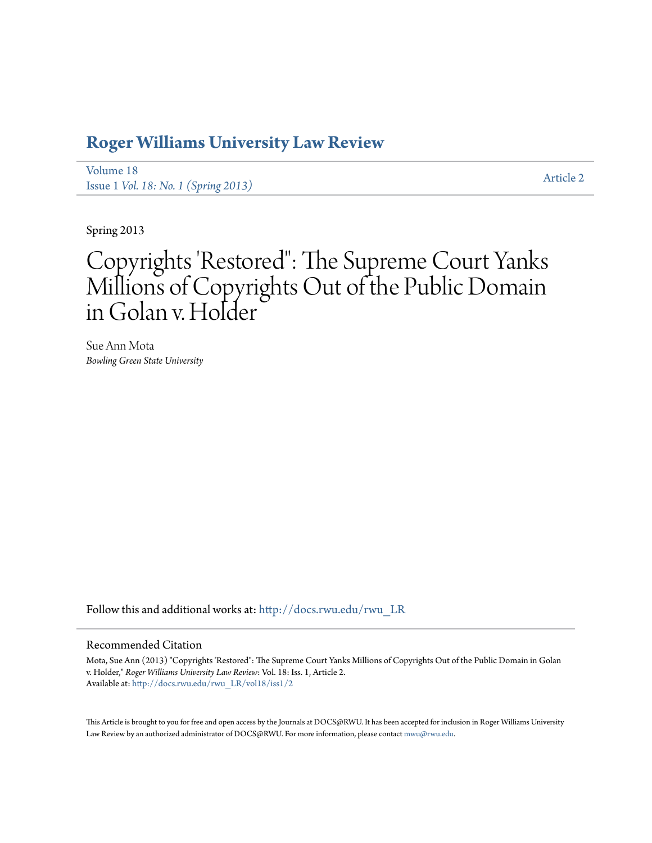# **[Roger Williams University Law Review](http://docs.rwu.edu/rwu_LR?utm_source=docs.rwu.edu%2Frwu_LR%2Fvol18%2Fiss1%2F2&utm_medium=PDF&utm_campaign=PDFCoverPages)**

[Volume 18](http://docs.rwu.edu/rwu_LR/vol18?utm_source=docs.rwu.edu%2Frwu_LR%2Fvol18%2Fiss1%2F2&utm_medium=PDF&utm_campaign=PDFCoverPages) Issue 1 *[Vol. 18: No. 1 \(Spring 2013\)](http://docs.rwu.edu/rwu_LR/vol18/iss1?utm_source=docs.rwu.edu%2Frwu_LR%2Fvol18%2Fiss1%2F2&utm_medium=PDF&utm_campaign=PDFCoverPages)* [Article 2](http://docs.rwu.edu/rwu_LR/vol18/iss1/2?utm_source=docs.rwu.edu%2Frwu_LR%2Fvol18%2Fiss1%2F2&utm_medium=PDF&utm_campaign=PDFCoverPages)

Spring 2013

# Copyrights 'Restored": The Supreme Court Yanks Millions of Copyrights Out of the Public Domain in Golan v. Holder

Sue Ann Mota *Bowling Green State University*

Follow this and additional works at: [http://docs.rwu.edu/rwu\\_LR](http://docs.rwu.edu/rwu_LR?utm_source=docs.rwu.edu%2Frwu_LR%2Fvol18%2Fiss1%2F2&utm_medium=PDF&utm_campaign=PDFCoverPages)

#### Recommended Citation

Mota, Sue Ann (2013) "Copyrights 'Restored": The Supreme Court Yanks Millions of Copyrights Out of the Public Domain in Golan v. Holder," *Roger Williams University Law Review*: Vol. 18: Iss. 1, Article 2. Available at: [http://docs.rwu.edu/rwu\\_LR/vol18/iss1/2](http://docs.rwu.edu/rwu_LR/vol18/iss1/2?utm_source=docs.rwu.edu%2Frwu_LR%2Fvol18%2Fiss1%2F2&utm_medium=PDF&utm_campaign=PDFCoverPages)

This Article is brought to you for free and open access by the Journals at DOCS@RWU. It has been accepted for inclusion in Roger Williams University Law Review by an authorized administrator of DOCS@RWU. For more information, please contact [mwu@rwu.edu](mailto:mwu@rwu.edu).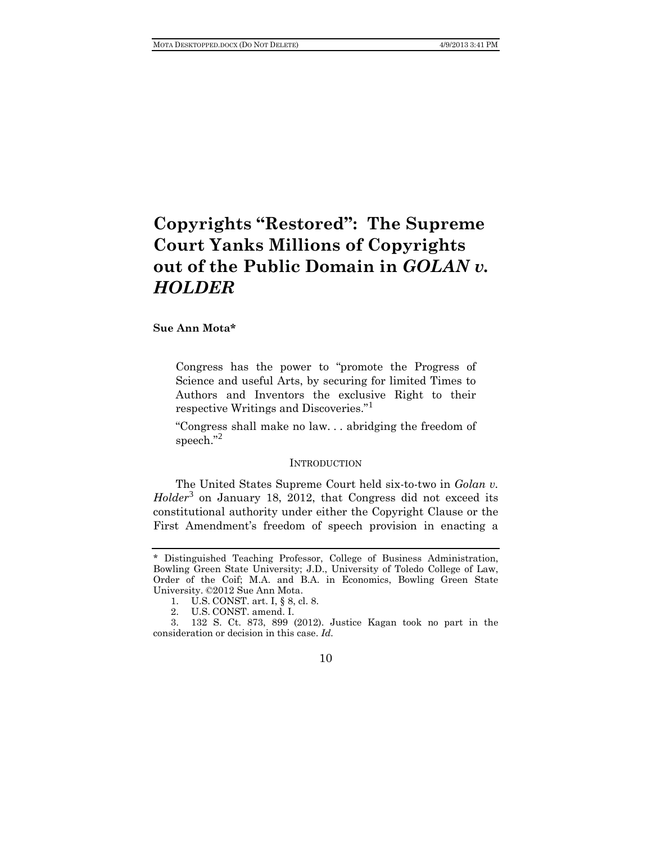# **Copyrights "Restored": The Supreme Court Yanks Millions of Copyrights out of the Public Domain in** *GOLAN v. HOLDER*

## **Sue Ann Mota\***

Congress has the power to "promote the Progress of Science and useful Arts, by securing for limited Times to Authors and Inventors the exclusive Right to their respective Writings and Discoveries."[1](#page-1-0)

"Congress shall make no law. . . abridging the freedom of speech." [2](#page-1-1)

#### **INTRODUCTION**

The United States Supreme Court held six-to-two in *Golan v. Holder*[3](#page-1-2) on January 18, 2012, that Congress did not exceed its constitutional authority under either the Copyright Clause or the First Amendment's freedom of speech provision in enacting a

<span id="page-1-0"></span><sup>\*</sup> Distinguished Teaching Professor, College of Business Administration, Bowling Green State University; J.D., University of Toledo College of Law, Order of the Coif; M.A. and B.A. in Economics, Bowling Green State University. ©2012 Sue Ann Mota.

<sup>1.</sup> U.S. CONST. art. I, § 8, cl. 8.

<sup>2.</sup> U.S. CONST. amend. I.

<span id="page-1-2"></span><span id="page-1-1"></span><sup>3.</sup> 132 S. Ct. 873, 899 (2012). Justice Kagan took no part in the consideration or decision in this case. *Id.*

<sup>10</sup>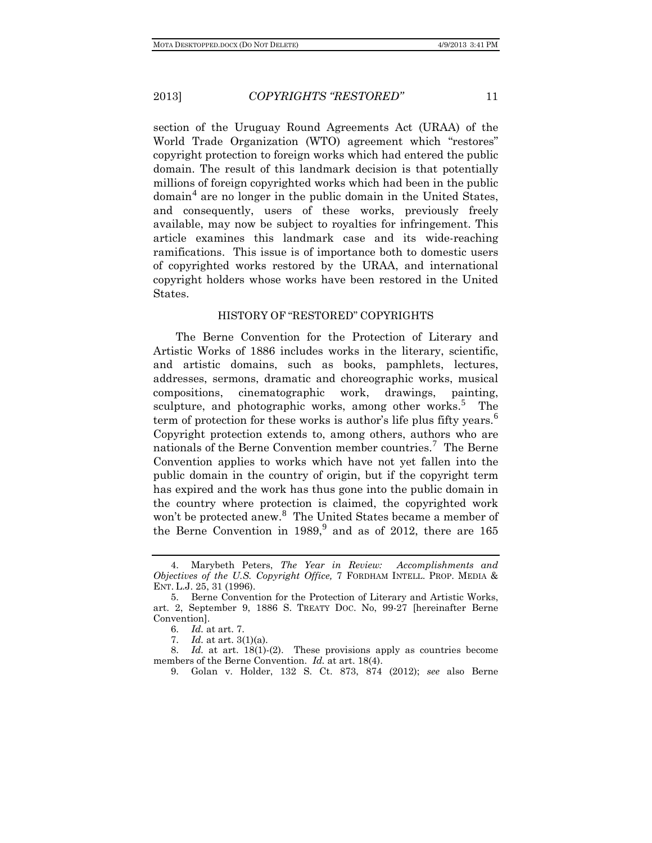section of the Uruguay Round Agreements Act (URAA) of the World Trade Organization (WTO) agreement which "restores" copyright protection to foreign works which had entered the public domain. The result of this landmark decision is that potentially millions of foreign copyrighted works which had been in the public  $\gamma^4$  $\gamma^4$  are no longer in the public domain in the United States, and consequently, users of these works, previously freely available, may now be subject to royalties for infringement. This article examines this landmark case and its wide-reaching ramifications. This issue is of importance both to domestic users of copyrighted works restored by the URAA, and international copyright holders whose works have been restored in the United States.

## HISTORY OF "RESTORED" COPYRIGHTS

The Berne Convention for the Protection of Literary and Artistic Works of 1886 includes works in the literary, scientific, and artistic domains, such as books, pamphlets, lectures, addresses, sermons, dramatic and choreographic works, musical compositions, cinematographic work, drawings, painting, sculpture, and photographic works, among other works.<sup>[5](#page-2-1)</sup> The term of protection for these works is author's life plus fifty years.<sup>[6](#page-2-2)</sup> Copyright protection extends to, among others, authors who are nationals of the Berne Convention member countries.<sup>[7](#page-2-3)</sup> The Berne Convention applies to works which have not yet fallen into the public domain in the country of origin, but if the copyright term has expired and the work has thus gone into the public domain in the country where protection is claimed, the copyrighted work won't be protected anew.<sup>[8](#page-2-4)</sup> The United States became a member of the Berne Convention in  $1989<sup>9</sup>$  $1989<sup>9</sup>$  $1989<sup>9</sup>$  and as of 2012, there are 165

<span id="page-2-0"></span><sup>4.</sup> Marybeth Peters, *The Year in Review: Accomplishments and Objectives of the U.S. Copyright Office,* 7 FORDHAM INTELL. PROP. MEDIA & ENT. L.J. 25, 31 (1996).

<span id="page-2-1"></span><sup>5.</sup> Berne Convention for the Protection of Literary and Artistic Works, art. 2, September 9, 1886 S. TREATY DOC. No, 99-27 [hereinafter Berne Convention].

<sup>6.</sup> *Id.* at art. 7.

<sup>7.</sup> *Id.* at art. 3(1)(a).

<span id="page-2-5"></span><span id="page-2-4"></span><span id="page-2-3"></span><span id="page-2-2"></span><sup>8.</sup> *Id.* at art. 18(1)-(2). These provisions apply as countries become members of the Berne Convention. *Id.* at art. 18(4).

<sup>9.</sup> Golan v. Holder, 132 S. Ct. 873, 874 (2012); *see* also Berne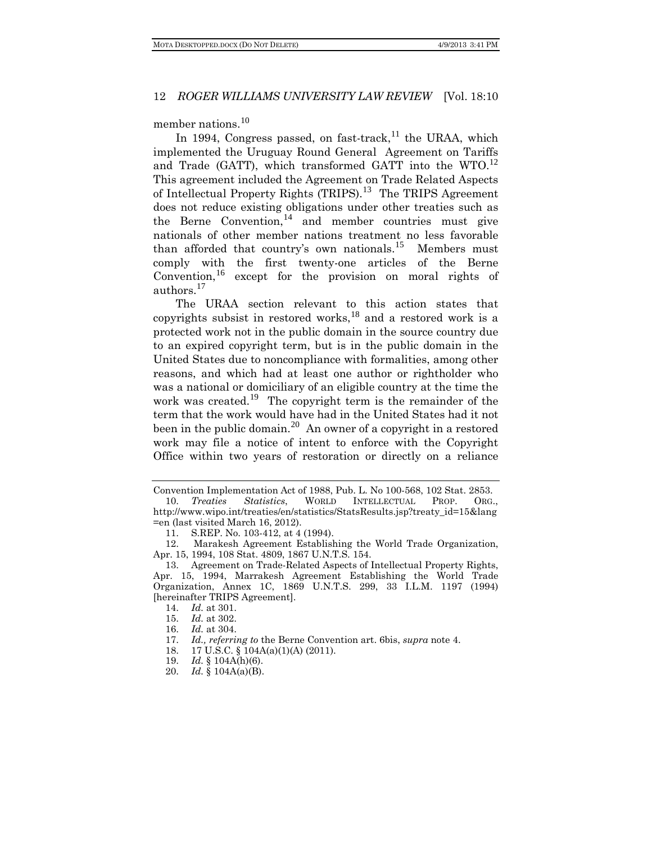member nations.<sup>[10](#page-3-0)</sup>

In 1994, Congress passed, on fast-track,<sup>[11](#page-3-1)</sup> the URAA, which implemented the Uruguay Round General Agreement on Tariffs and Trade (GATT), which transformed GATT into the WTO.<sup>[12](#page-3-2)</sup> This agreement included the Agreement on Trade Related Aspects of Intellectual Property Rights (TRIPS).<sup>[13](#page-3-3)</sup> The TRIPS Agreement does not reduce existing obligations under other treaties such as the Berne Convention,  $14$  and member countries must give nationals of other member nations treatment no less favorable than afforded that country's own nationals.<sup>[15](#page-3-5)</sup> Members must comply with the first twenty-one articles of the Berne Convention,[16](#page-3-6) except for the provision on moral rights of authors.[17](#page-3-7)

The URAA section relevant to this action states that copyrights subsist in restored works,<sup>[18](#page-3-8)</sup> and a restored work is a protected work not in the public domain in the source country due to an expired copyright term, but is in the public domain in the United States due to noncompliance with formalities, among other reasons, and which had at least one author or rightholder who was a national or domiciliary of an eligible country at the time the work was created.<sup>[19](#page-3-9)</sup> The copyright term is the remainder of the term that the work would have had in the United States had it not been in the public domain.<sup>[20](#page-3-10)</sup> An owner of a copyright in a restored work may file a notice of intent to enforce with the Copyright Office within two years of restoration or directly on a reliance

<span id="page-3-0"></span>Convention Implementation Act of 1988, Pub. L. No 100-568, 102 Stat. 2853. 10. *Treaties Statistics*, WORLD INTELLECTUAL PROP. ORG., http://www.wipo.int/treaties/en/statistics/StatsResults.jsp?treaty\_id=15&lang

<sup>=</sup>en (last visited March 16, 2012).

<span id="page-3-2"></span><span id="page-3-1"></span><sup>11.</sup> S.REP. No. 103-412, at 4 (1994). 12. Marakesh Agreement Establishing the World Trade Organization, Apr. 15, 1994, 108 Stat. 4809, 1867 U.N.T.S. 154.

<span id="page-3-5"></span><span id="page-3-4"></span><span id="page-3-3"></span><sup>13.</sup> Agreement on Trade-Related Aspects of Intellectual Property Rights, Apr. 15, 1994, Marrakesh Agreement Establishing the World Trade Organization, Annex 1C, 1869 U.N.T.S. 299, 33 I.L.M. 1197 (1994) [hereinafter TRIPS Agreement].

<sup>14.</sup> *Id.* at 301.

<sup>15.</sup> *Id.* at 302.

<sup>16.</sup> *Id.* at 304.

<span id="page-3-8"></span><span id="page-3-7"></span><span id="page-3-6"></span><sup>17.</sup> *Id., referring to* the Berne Convention art. 6bis, *supra* note 4.

<sup>18.</sup> 17 U.S.C. § 104A(a)(1)(A) (2011).

<sup>19.</sup> *Id.* § 104A(h)(6).

<span id="page-3-10"></span><span id="page-3-9"></span><sup>20.</sup> *Id.* § 104A(a)(B).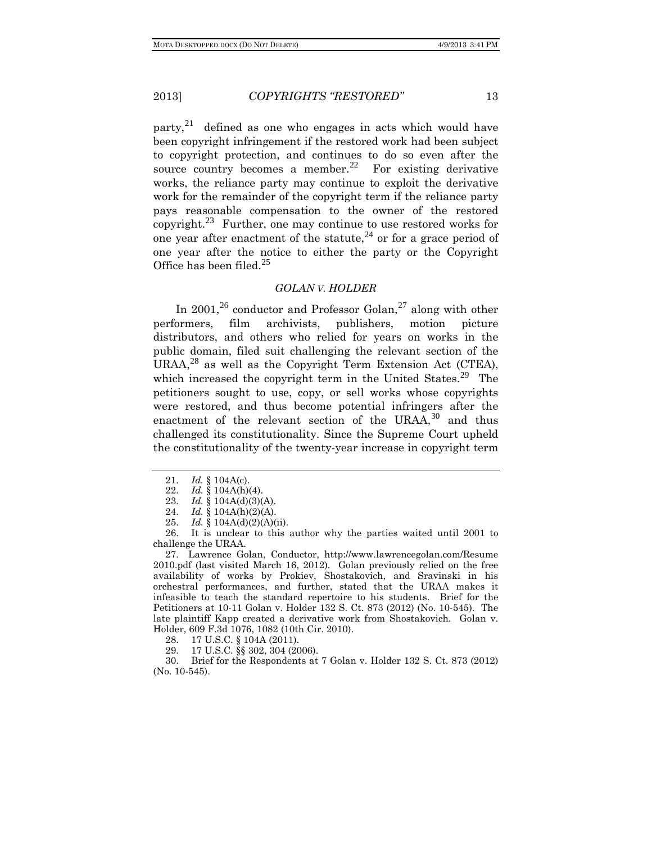party, $2^1$  defined as one who engages in acts which would have been copyright infringement if the restored work had been subject to copyright protection, and continues to do so even after the source country becomes a member.<sup>[22](#page-4-1)</sup> For existing derivative works, the reliance party may continue to exploit the derivative work for the remainder of the copyright term if the reliance party pays reasonable compensation to the owner of the restored copyright.<sup>[23](#page-4-2)</sup> Further, one may continue to use restored works for one year after enactment of the statute,  $^{24}$  $^{24}$  $^{24}$  or for a grace period of one year after the notice to either the party or the Copyright Office has been filed.<sup>[25](#page-4-4)</sup>

## *GOLAN V. HOLDER*

In 2001,<sup>[26](#page-4-5)</sup> conductor and Professor Golan,<sup>[27](#page-4-6)</sup> along with other performers, film archivists, publishers, motion picture distributors, and others who relied for years on works in the public domain, filed suit challenging the relevant section of the URAA,<sup>[28](#page-4-7)</sup> as well as the Copyright Term Extension Act (CTEA), which increased the copyright term in the United States.<sup>[29](#page-4-8)</sup> The petitioners sought to use, copy, or sell works whose copyrights were restored, and thus become potential infringers after the enactment of the relevant section of the URAA, $30$  and thus challenged its constitutionality. Since the Supreme Court upheld the constitutionality of the twenty-year increase in copyright term

23. *Id.* § 104A(d)(3)(A).<br>24. *Id.* § 104A(h)(2)(A).

<span id="page-4-5"></span><span id="page-4-4"></span><span id="page-4-3"></span><span id="page-4-2"></span><span id="page-4-1"></span><span id="page-4-0"></span>It is unclear to this author why the parties waited until 2001 to challenge the URAA.

<span id="page-4-6"></span>27. Lawrence Golan, Conductor, http://www.lawrencegolan.com/Resume 2010.pdf (last visited March 16, 2012). Golan previously relied on the free availability of works by Prokiev, Shostakovich, and Sravinski in his orchestral performances, and further, stated that the URAA makes it infeasible to teach the standard repertoire to his students. Brief for the Petitioners at 10-11 Golan v. Holder 132 S. Ct. 873 (2012) (No. 10-545). The late plaintiff Kapp created a derivative work from Shostakovich. Golan v. Holder, 609 F.3d 1076, 1082 (10th Cir. 2010).

28. 17 U.S.C. § 104A (2011).

29. 17 U.S.C. §§ 302, 304 (2006).

<span id="page-4-9"></span><span id="page-4-8"></span><span id="page-4-7"></span>30. Brief for the Respondents at 7 Golan v. Holder 132 S. Ct. 873 (2012) (No. 10-545).

<sup>21.</sup> *Id.* § 104A(c).

<sup>22.</sup> *Id.* § 104A(h)(4).<br>23. *Id.* § 104A(d)(3)(

Id.  $\{(104A(h)(2)(A))\}$ .

<sup>25.</sup> *Id.* § 104A(d)(2)(A)(ii).<br>26. It is unclear to this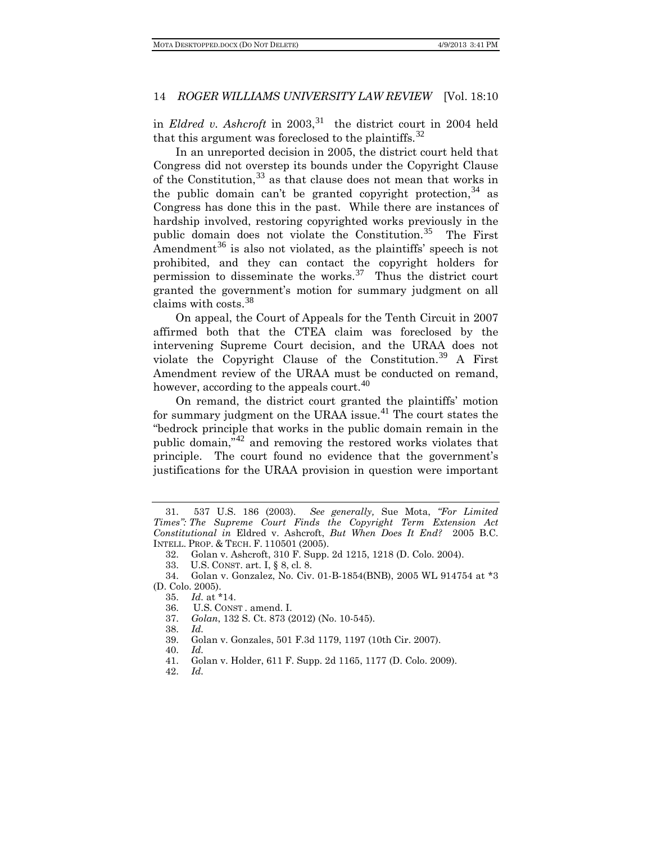in *Eldred v. Ashcroft* in 2003,<sup>[31](#page-5-0)</sup> the district court in 2004 held that this argument was foreclosed to the plaintiffs.<sup>[32](#page-5-1)</sup>

In an unreported decision in 2005, the district court held that Congress did not overstep its bounds under the Copyright Clause of the Constitution,  $33$  as that clause does not mean that works in the public domain can't be granted copyright protection,  $34$  as Congress has done this in the past. While there are instances of hardship involved, restoring copyrighted works previously in the public domain does not violate the Constitution.<sup>[35](#page-5-4)</sup> The First Amendment<sup>[36](#page-5-5)</sup> is also not violated, as the plaintiffs' speech is not prohibited, and they can contact the copyright holders for permission to disseminate the works.<sup>[37](#page-5-6)</sup> Thus the district court granted the government's motion for summary judgment on all claims with costs.[38](#page-5-7)

On appeal, the Court of Appeals for the Tenth Circuit in 2007 affirmed both that the CTEA claim was foreclosed by the intervening Supreme Court decision, and the URAA does not violate the Copyright Clause of the Constitution.<sup>[39](#page-5-8)</sup> A First Amendment review of the URAA must be conducted on remand, however, according to the appeals court.<sup>[40](#page-5-9)</sup>

On remand, the district court granted the plaintiffs' motion for summary judgment on the URAA issue.<sup>[41](#page-5-10)</sup> The court states the "bedrock principle that works in the public domain remain in the public domain,"<sup>[42](#page-5-11)</sup> and removing the restored works violates that principle. The court found no evidence that the government's justifications for the URAA provision in question were important

<span id="page-5-0"></span><sup>31. 537</sup> U.S. 186 (2003). *See generally,* Sue Mota, *"For Limited Times": The Supreme Court Finds the Copyright Term Extension Act Constitutional in* Eldred v. Ashcroft, *But When Does It End?* 2005 B.C. INTELL. PROP. & TECH. F. 110501 (2005).

<sup>32.</sup> Golan v. Ashcroft, 310 F. Supp. 2d 1215, 1218 (D. Colo. 2004).

<sup>33.</sup> U.S. CONST. art. I, § 8, cl. 8.

<span id="page-5-7"></span><span id="page-5-6"></span><span id="page-5-5"></span><span id="page-5-4"></span><span id="page-5-3"></span><span id="page-5-2"></span><span id="page-5-1"></span><sup>34.</sup> Golan v. Gonzalez, No. Civ. 01-B-1854(BNB), 2005 WL 914754 at \*3 (D. Colo. 2005).

<sup>35.</sup> *Id.* at \*14.

<sup>36.</sup> U.S. CONST . amend. I.

<sup>37.</sup> *Golan*, 132 S. Ct. 873 (2012) (No. 10-545).

<sup>38.</sup> *Id.*

<sup>39.</sup> Golan v. Gonzales, 501 F.3d 1179, 1197 (10th Cir. 2007).

<span id="page-5-10"></span><span id="page-5-9"></span><span id="page-5-8"></span><sup>40.</sup> *Id.*

<span id="page-5-11"></span><sup>41.</sup> Golan v. Holder, 611 F. Supp. 2d 1165, 1177 (D. Colo. 2009).

<sup>42.</sup> *Id.*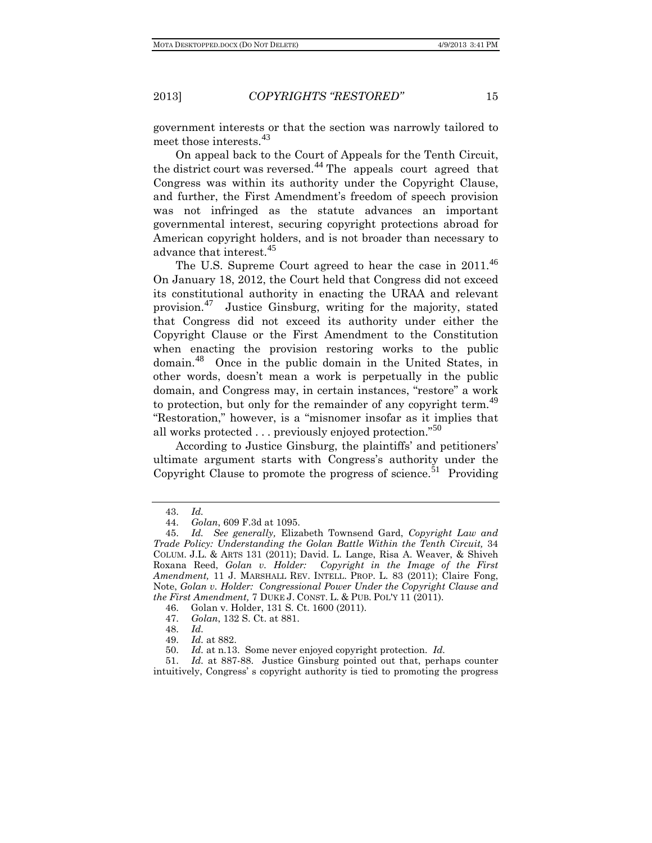government interests or that the section was narrowly tailored to meet those interests.<sup>[43](#page-6-0)</sup>

On appeal back to the Court of Appeals for the Tenth Circuit, the district court was reversed.<sup>[44](#page-6-1)</sup> The appeals court agreed that Congress was within its authority under the Copyright Clause, and further, the First Amendment's freedom of speech provision was not infringed as the statute advances an important governmental interest, securing copyright protections abroad for American copyright holders, and is not broader than necessary to advance that interest.[45](#page-6-2)

The U.S. Supreme Court agreed to hear the case in 2011.<sup>[46](#page-6-3)</sup> On January 18, 2012, the Court held that Congress did not exceed its constitutional authority in enacting the URAA and relevant provision.[47](#page-6-4) Justice Ginsburg, writing for the majority, stated that Congress did not exceed its authority under either the Copyright Clause or the First Amendment to the Constitution when enacting the provision restoring works to the public domain.[48](#page-6-5) Once in the public domain in the United States, in other words, doesn't mean a work is perpetually in the public domain, and Congress may, in certain instances, "restore" a work to protection, but only for the remainder of any copyright term.<sup>[49](#page-6-6)</sup> "Restoration," however, is a "misnomer insofar as it implies that all works protected . . . previously enjoyed protection."<sup>[50](#page-6-7)</sup>

According to Justice Ginsburg, the plaintiffs' and petitioners' ultimate argument starts with Congress's authority under the Copyright Clause to promote the progress of science.<sup>[51](#page-6-8)</sup> Providing

<span id="page-6-8"></span><span id="page-6-7"></span><span id="page-6-6"></span><span id="page-6-5"></span><span id="page-6-4"></span><span id="page-6-3"></span>51. *Id.* at 887-88. Justice Ginsburg pointed out that, perhaps counter intuitively, Congress' s copyright authority is tied to promoting the progress

<sup>43.</sup> *Id.*

<sup>44.</sup> *Golan*, 609 F.3d at 1095.

<span id="page-6-2"></span><span id="page-6-1"></span><span id="page-6-0"></span><sup>45.</sup> *Id. See generally,* Elizabeth Townsend Gard, *Copyright Law and Trade Policy: Understanding the Golan Battle Within the Tenth Circuit,* 34 COLUM. J.L. & ARTS 131 (2011); David. L. Lange, Risa A. Weaver, & Shiveh Roxana Reed, *Golan v. Holder: Copyright in the Image of the First Amendment,* 11 J. MARSHALL REV. INTELL. PROP. L. 83 (2011); Claire Fong, Note, *Golan v. Holder: Congressional Power Under the Copyright Clause and the First Amendment,* 7 DUKE J. CONST. L. & PUB. POL'Y 11 (2011).

<sup>46.</sup> Golan v. Holder, 131 S. Ct. 1600 (2011).

<sup>47.</sup> *Golan*, 132 S. Ct. at 881.

<sup>48.</sup> *Id.*

<sup>49.</sup> *Id.* at 882.

<sup>50.</sup> *Id.* at n.13. Some never enjoyed copyright protection. *Id.*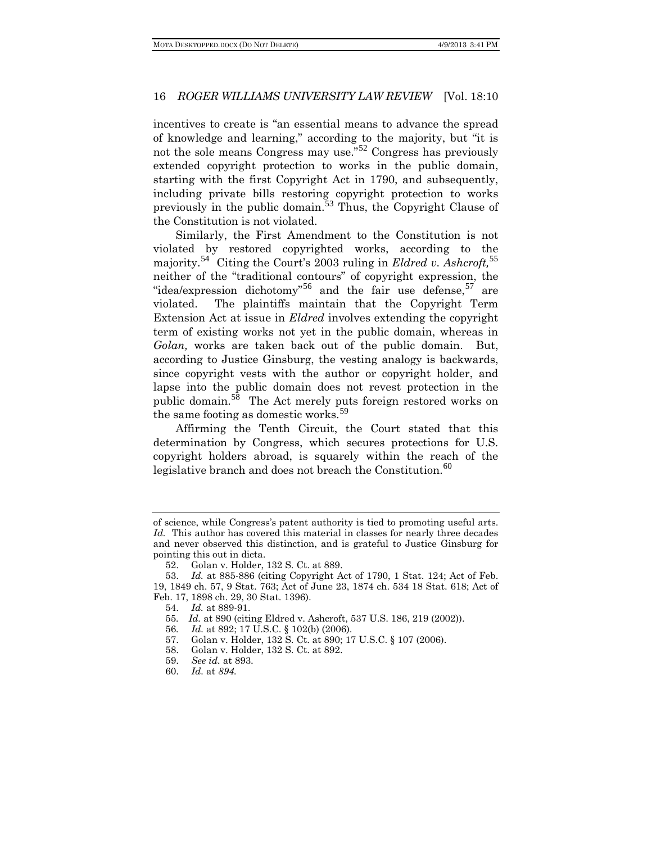incentives to create is "an essential means to advance the spread of knowledge and learning," according to the majority, but "it is not the sole means Congress may use."[52](#page-7-0) Congress has previously extended copyright protection to works in the public domain, starting with the first Copyright Act in 1790, and subsequently, including private bills restoring copyright protection to works previously in the public domain.[53](#page-7-1) Thus, the Copyright Clause of the Constitution is not violated.

Similarly, the First Amendment to the Constitution is not violated by restored copyrighted works, according to the majority.[54](#page-7-2) Citing the Court's 2003 ruling in *Eldred v. Ashcroft,*[55](#page-7-3) neither of the "traditional contours" of copyright expression, the "idea/expression dichotomy"<sup>[56](#page-7-4)</sup> and the fair use defense,  $57$  are violated. The plaintiffs maintain that the Copyright Term Extension Act at issue in *Eldred* involves extending the copyright term of existing works not yet in the public domain, whereas in *Golan,* works are taken back out of the public domain. But, according to Justice Ginsburg, the vesting analogy is backwards, since copyright vests with the author or copyright holder, and lapse into the public domain does not revest protection in the public domain. $5^8$  The Act merely puts foreign restored works on the same footing as domestic works.<sup>[59](#page-7-7)</sup>

Affirming the Tenth Circuit, the Court stated that this determination by Congress, which secures protections for U.S. copyright holders abroad, is squarely within the reach of the legislative branch and does not breach the Constitution. $60$ 

55*. Id.* at 890 (citing Eldred v. Ashcroft, 537 U.S. 186, 219 (2002)).

- <span id="page-7-6"></span><span id="page-7-5"></span>57. Golan v. Holder, 132 S. Ct. at 890; 17 U.S.C. § 107 (2006).
- 58. Golan v. Holder, 132 S. Ct. at 892.
- <span id="page-7-7"></span>59. *See id.* at 893.
- <span id="page-7-8"></span>60. *Id.* at *894.*

of science, while Congress's patent authority is tied to promoting useful arts. *Id.* This author has covered this material in classes for nearly three decades and never observed this distinction, and is grateful to Justice Ginsburg for pointing this out in dicta.

<sup>52.</sup> Golan v. Holder, 132 S. Ct. at 889.

<span id="page-7-4"></span><span id="page-7-3"></span><span id="page-7-2"></span><span id="page-7-1"></span><span id="page-7-0"></span><sup>53.</sup> *Id.* at 885-886 (citing Copyright Act of 1790, 1 Stat. 124; Act of Feb. 19, 1849 ch. 57, 9 Stat. 763; Act of June 23, 1874 ch. 534 18 Stat. 618; Act of Feb. 17, 1898 ch. 29, 30 Stat. 1396).

<sup>54.</sup> *Id.* at 889-91.

<sup>56</sup>*. Id.* at 892; 17 U.S.C. § 102(b) (2006).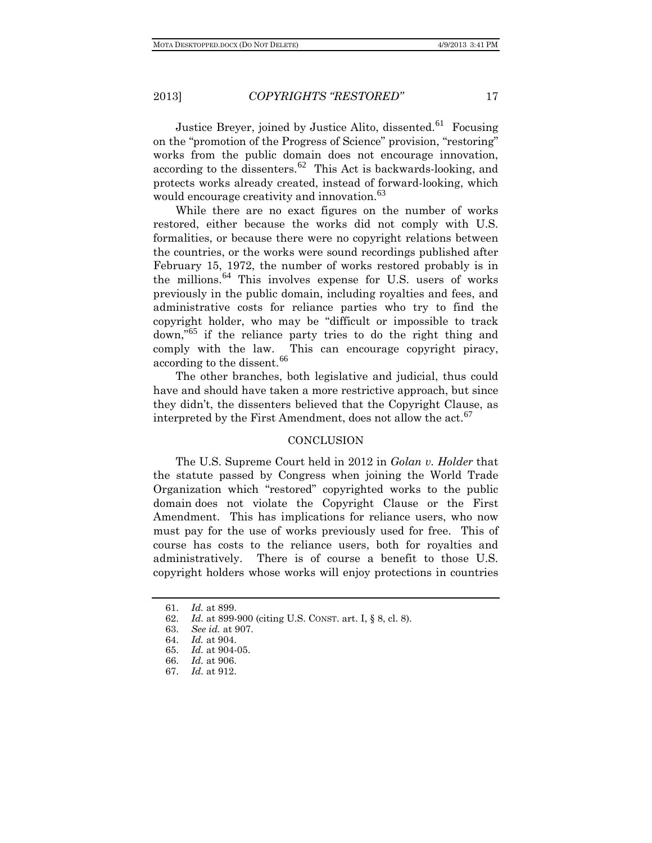Justice Breyer, joined by Justice Alito, dissented.<sup>[61](#page-8-0)</sup> Focusing on the "promotion of the Progress of Science" provision, "restoring" works from the public domain does not encourage innovation, according to the dissenters.<sup>[62](#page-8-1)</sup> This Act is backwards-looking, and protects works already created, instead of forward-looking, which would encourage creativity and innovation.<sup>[63](#page-8-2)</sup>

While there are no exact figures on the number of works restored, either because the works did not comply with U.S. formalities, or because there were no copyright relations between the countries, or the works were sound recordings published after February 15, 1972, the number of works restored probably is in the millions.[64](#page-8-3) This involves expense for U.S. users of works previously in the public domain, including royalties and fees, and administrative costs for reliance parties who try to find the copyright holder, who may be "difficult or impossible to track down," [65](#page-8-4) if the reliance party tries to do the right thing and comply with the law. This can encourage copyright piracy, according to the dissent.<sup>[66](#page-8-5)</sup>

The other branches, both legislative and judicial, thus could have and should have taken a more restrictive approach, but since they didn't, the dissenters believed that the Copyright Clause, as interpreted by the First Amendment, does not allow the act.<sup>[67](#page-8-6)</sup>

#### **CONCLUSION**

The U.S. Supreme Court held in 2012 in *Golan v. Holder* that the statute passed by Congress when joining the World Trade Organization which "restored" copyrighted works to the public domain does not violate the Copyright Clause or the First Amendment. This has implications for reliance users, who now must pay for the use of works previously used for free. This of course has costs to the reliance users, both for royalties and administratively. There is of course a benefit to those U.S. copyright holders whose works will enjoy protections in countries

<sup>61.</sup> *Id.* at 899.

<span id="page-8-2"></span><span id="page-8-1"></span><span id="page-8-0"></span><sup>62.</sup> *Id.* at 899-900 (citing U.S. CONST. art. I, § 8, cl. 8).

<sup>63.</sup> *See id.* at 907.

<span id="page-8-3"></span><sup>64.</sup> *Id.* at 904.

<sup>65.</sup> *Id.* at 904-05.

<span id="page-8-4"></span><sup>66.</sup> *Id.* at 906.

<span id="page-8-6"></span><span id="page-8-5"></span><sup>67.</sup> *Id.* at 912.